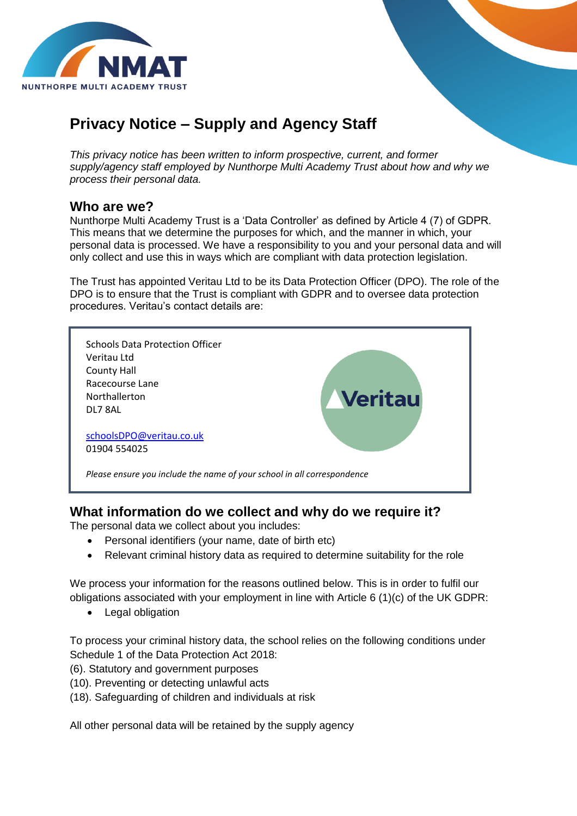

# **Privacy Notice – Supply and Agency Staff**

*This privacy notice has been written to inform prospective, current, and former supply/agency staff employed by Nunthorpe Multi Academy Trust about how and why we process their personal data.*

#### **Who are we?**

Nunthorpe Multi Academy Trust is a 'Data Controller' as defined by Article 4 (7) of GDPR. This means that we determine the purposes for which, and the manner in which, your personal data is processed. We have a responsibility to you and your personal data and will only collect and use this in ways which are compliant with data protection legislation.

The Trust has appointed Veritau Ltd to be its Data Protection Officer (DPO). The role of the DPO is to ensure that the Trust is compliant with GDPR and to oversee data protection procedures. Veritau's contact details are:



# **What information do we collect and why do we require it?**

The personal data we collect about you includes:

- Personal identifiers (your name, date of birth etc)
- Relevant criminal history data as required to determine suitability for the role

We process your information for the reasons outlined below. This is in order to fulfil our obligations associated with your employment in line with Article 6 (1)(c) of the UK GDPR:

• Legal obligation

To process your criminal history data, the school relies on the following conditions under Schedule 1 of the Data Protection Act 2018:

- (6). Statutory and government purposes
- (10). Preventing or detecting unlawful acts
- (18). Safeguarding of children and individuals at risk

All other personal data will be retained by the supply agency